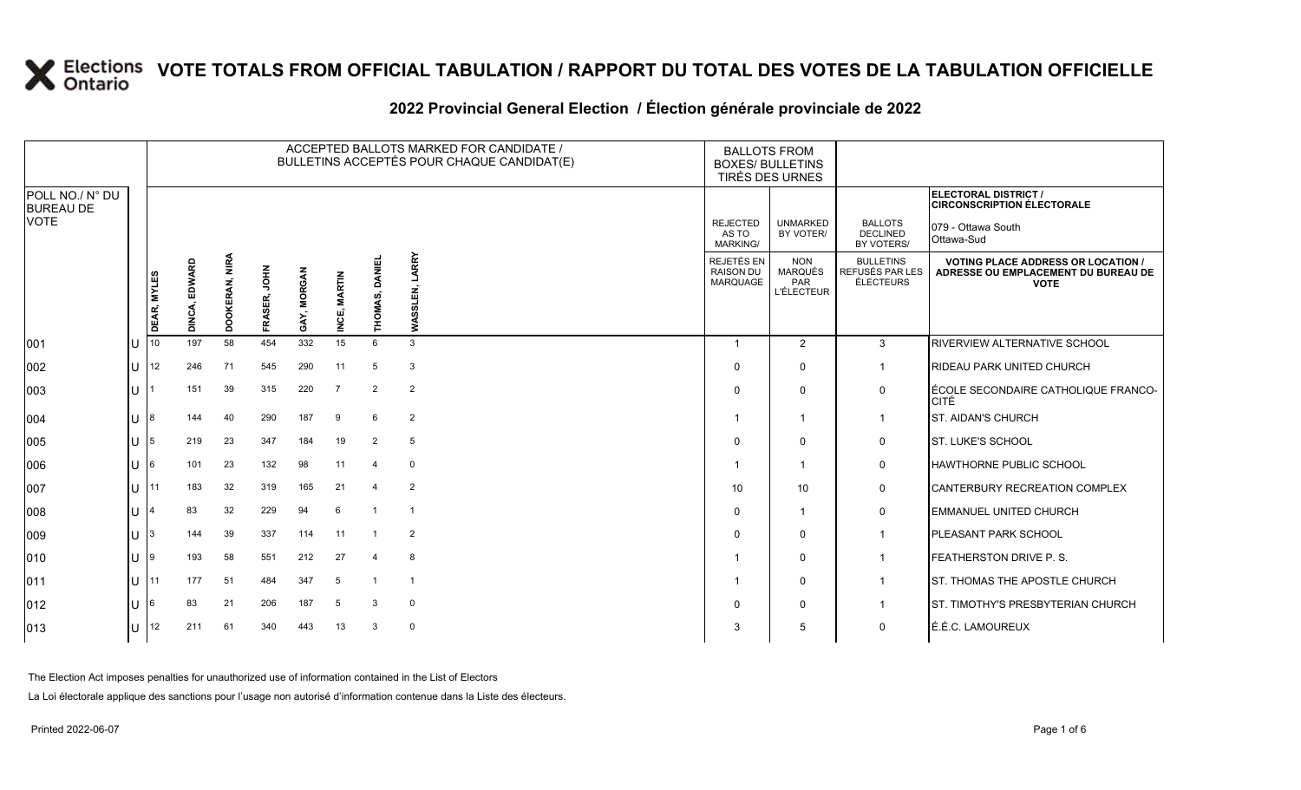#### **2022 Provincial General Election / Élection générale provinciale de 2022**

|                                     |                                       | ACCEPTED BALLOTS MARKED FOR CANDIDATE /<br>BULLETINS ACCEPTÉS POUR CHAQUE CANDIDAT(E) |                |                |                 |                         |                        |                |                   | <b>BALLOTS FROM</b><br><b>BOXES/ BULLETINS</b>    | TIRÉS DES URNES                                   |                                                         |                                                                                                 |
|-------------------------------------|---------------------------------------|---------------------------------------------------------------------------------------|----------------|----------------|-----------------|-------------------------|------------------------|----------------|-------------------|---------------------------------------------------|---------------------------------------------------|---------------------------------------------------------|-------------------------------------------------------------------------------------------------|
| POLL NO./ N° DU<br><b>BUREAU DE</b> |                                       |                                                                                       |                |                |                 |                         |                        |                |                   |                                                   |                                                   |                                                         | ELECTORAL DISTRICT /<br><b>CIRCONSCRIPTION ÉLECTORALE</b>                                       |
| <b>VOTE</b>                         |                                       |                                                                                       |                |                |                 |                         |                        |                |                   | <b>REJECTED</b><br>AS TO<br>MARKING/              | <b>UNMARKED</b><br>BY VOTER/                      | <b>BALLOTS</b><br><b>DECLINED</b><br>BY VOTERS/         | 079 - Ottawa South<br>Ottawa-Sud                                                                |
|                                     |                                       | DEAR, MYLES                                                                           | EDWARD<br>DINC | DOOKERAN, NIRA | NHO,<br>FRASER, | <b>/, MORGAN</b><br>GAY | <b>MARTIN</b><br>INCE, | THOMAS, DANIE  | LARRY<br>WASSLEN, | REJETÉS EN<br><b>RAISON DU</b><br><b>MARQUAGE</b> | <b>NON</b><br>MARQUÉS<br>PAR<br><b>L'ÉLECTEUR</b> | <b>BULLETINS</b><br>REFUSÉS PAR LES<br><b>ÉLECTEURS</b> | <b>VOTING PLACE ADDRESS OR LOCATION /</b><br>ADRESSE OU EMPLACEMENT DU BUREAU DE<br><b>VOTE</b> |
| 001                                 | $\cup$                                | 10                                                                                    | 197            | 58             | 454             | 332                     | 15                     | 6              | 3                 | -1                                                | $\overline{2}$                                    | 3                                                       | <b>RIVERVIEW ALTERNATIVE SCHOOL</b>                                                             |
| 002                                 |                                       | <b>U</b> 12                                                                           | 246            | 71             | 545             | 290                     | 11                     | 5              | 3                 | $\Omega$                                          | $\Omega$                                          | $\mathbf 1$                                             | <b>RIDEAU PARK UNITED CHURCH</b>                                                                |
| 003                                 | U                                     |                                                                                       | 151            | 39             | 315             | 220                     | $\overline{7}$         | 2              | 2                 | $\Omega$                                          | $\Omega$                                          | 0                                                       | <b>ÉCOLE SECONDAIRE CATHOLIQUE FRANCO-</b><br>CITÉ                                              |
| 004                                 | IU 18                                 |                                                                                       | 144            | 40             | 290             | 187                     | 9                      | 6              | $\overline{2}$    |                                                   | $\overline{1}$                                    | $\mathbf 1$                                             | <b>ST. AIDAN'S CHURCH</b>                                                                       |
| 005                                 | IU 15                                 |                                                                                       | 219            | 23             | 347             | 184                     | 19                     | 2              | 5                 | $\Omega$                                          | $\mathbf{0}$                                      | 0                                                       | <b>ST. LUKE'S SCHOOL</b>                                                                        |
| 006                                 | lU.                                   | 16                                                                                    | 101            | 23             | 132             | 98                      | 11                     | 4              | $\Omega$          |                                                   | -1                                                | 0                                                       | <b>HAWTHORNE PUBLIC SCHOOL</b>                                                                  |
| 007                                 | 1111                                  |                                                                                       | 183            | 32             | 319             | 165                     | 21                     | 4              | 2                 | 10                                                | 10                                                | 0                                                       | CANTERBURY RECREATION COMPLEX                                                                   |
| 008                                 | ΙU                                    |                                                                                       | 83             | 32             | 229             | 94                      | 6                      | $\overline{1}$ |                   | $\Omega$                                          | -1                                                | 0                                                       | <b>EMMANUEL UNITED CHURCH</b>                                                                   |
| 009                                 | $\lfloor \rfloor$ $\lfloor 3 \rfloor$ |                                                                                       | 144            | 39             | 337             | 114                     | 11                     | $\overline{1}$ | 2                 | 0                                                 | $\mathbf 0$                                       | -1                                                      | <b>PLEASANT PARK SCHOOL</b>                                                                     |
| $ 010\rangle$                       | U                                     | 19                                                                                    | 193            | 58             | 551             | 212                     | 27                     | $\overline{4}$ | 8                 |                                                   | $\mathbf{0}$                                      | $\overline{1}$                                          | <b>FEATHERSTON DRIVE P.S.</b>                                                                   |
| 011                                 | 111                                   |                                                                                       | 177            | 51             | 484             | 347                     | -5                     | $\mathbf{1}$   | -1                |                                                   | $\mathbf 0$                                       | $\overline{1}$                                          | <b>ST. THOMAS THE APOSTLE CHURCH</b>                                                            |
| 012                                 | U                                     | 16                                                                                    | 83             | 21             | 206             | 187                     | 5                      | 3              | $\mathbf 0$       | $\Omega$                                          | $\mathbf{0}$                                      | -1                                                      | <b>IST. TIMOTHY'S PRESBYTERIAN CHURCH</b>                                                       |
| $ 013\rangle$                       |                                       | U   12                                                                                | 211            | 61             | 340             | 443                     | 13                     | 3              | $\mathbf 0$       | 3                                                 | 5                                                 | 0                                                       | É.É.C. LAMOUREUX                                                                                |

The Election Act imposes penalties for unauthorized use of information contained in the List of Electors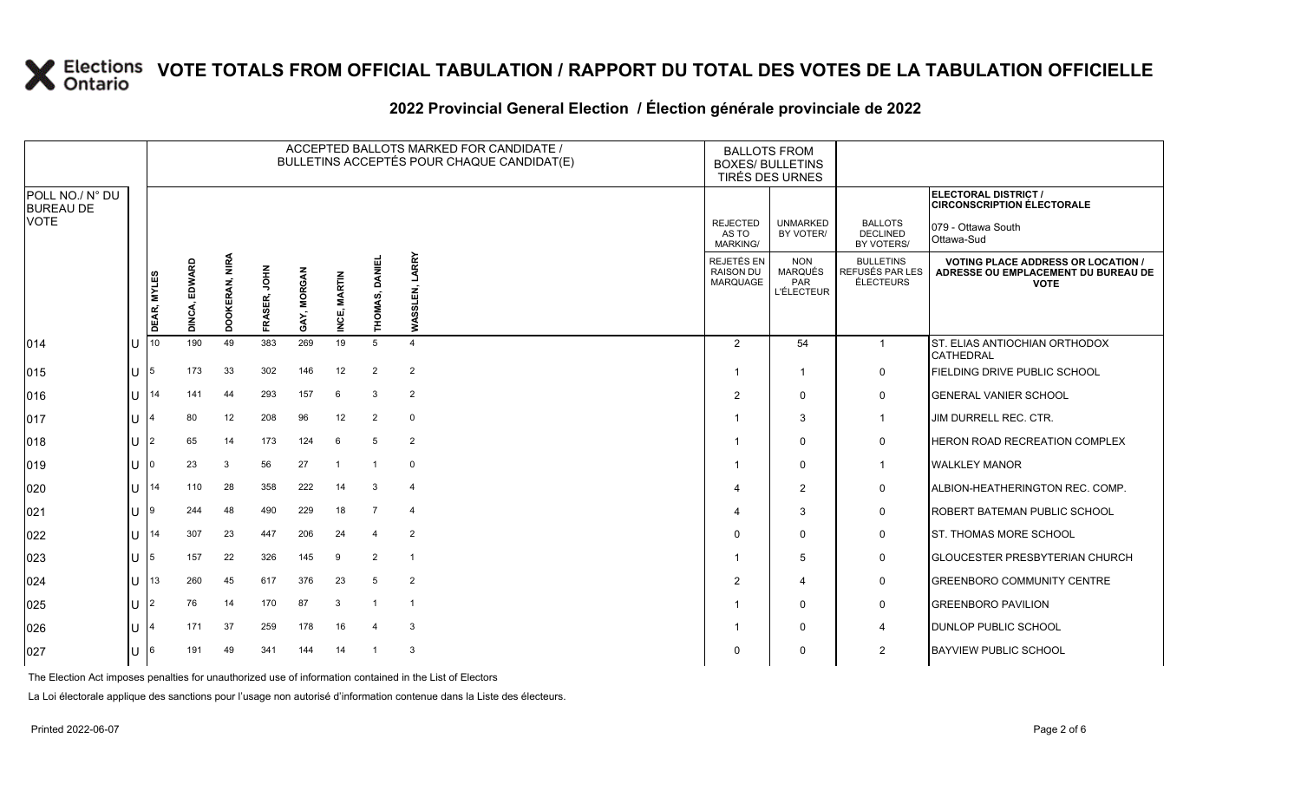### **2022 Provincial General Election / Élection générale provinciale de 2022**

|                                     | ACCEPTED BALLOTS MARKED FOR CANDIDATE /<br>BULLETINS ACCEPTÉS POUR CHAQUE CANDIDAT(E) |                    |                  |                |                |                       |                        |                              |                         |                                                   | <b>BALLOTS FROM</b><br><b>BOXES/ BULLETINS</b><br>TIRÉS DES URNES |                                                  |                                                                                                 |
|-------------------------------------|---------------------------------------------------------------------------------------|--------------------|------------------|----------------|----------------|-----------------------|------------------------|------------------------------|-------------------------|---------------------------------------------------|-------------------------------------------------------------------|--------------------------------------------------|-------------------------------------------------------------------------------------------------|
| POLL NO./ N° DU<br><b>BUREAU DE</b> |                                                                                       |                    |                  |                |                |                       |                        |                              |                         |                                                   |                                                                   |                                                  | ELECTORAL DISTRICT /<br><b>CIRCONSCRIPTION ÉLECTORALE</b>                                       |
| <b>VOTE</b>                         |                                                                                       |                    |                  |                |                |                       |                        |                              |                         | <b>REJECTED</b><br>AS TO<br><b>MARKING/</b>       | <b>UNMARKED</b><br>BY VOTER/                                      | <b>BALLOTS</b><br><b>DECLINED</b><br>BY VOTERS/  | 079 - Ottawa South<br>Ottawa-Sud                                                                |
|                                     |                                                                                       | <b>DEAR, MYLES</b> | EDWARD<br>DINCA, | DOOKERAN, NIRA | HOL<br>FRASER, | <b>MORGAN</b><br>GAY, | <b>MARTIN</b><br>INCE, | <b>DANIEL</b><br>ιó<br>THOMA | LARRY<br>WASSLEN,       | <b>REJETÉS EN</b><br><b>RAISON DU</b><br>MARQUAGE | <b>NON</b><br><b>MARQUÉS</b><br><b>PAR</b><br><b>L'ÉLECTEUR</b>   | <b>BULLETINS</b><br>REFUSÉS PAR LES<br>ÉLECTEURS | <b>VOTING PLACE ADDRESS OR LOCATION /</b><br>ADRESSE OU EMPLACEMENT DU BUREAU DE<br><b>VOTE</b> |
| 014                                 |                                                                                       | 10                 | 190              | 49             | 383            | 269                   | 19                     | 5                            | $\overline{4}$          | 2                                                 | 54                                                                | $\mathbf{1}$                                     | ST. ELIAS ANTIOCHIAN ORTHODOX<br><b>CATHEDRAL</b>                                               |
| $ 015\rangle$                       | U                                                                                     | 5                  | 173              | 33             | 302            | 146                   | 12                     | $\overline{2}$               | $\overline{2}$          | -1                                                | $\overline{\mathbf{1}}$                                           | 0                                                | FIELDING DRIVE PUBLIC SCHOOL                                                                    |
| 016                                 | U                                                                                     | 14                 | 141              | 44             | 293            | 157                   | 6                      | 3                            | 2                       | $\overline{2}$                                    | $\mathbf 0$                                                       | $\mathbf 0$                                      | <b>GENERAL VANIER SCHOOL</b>                                                                    |
| 017                                 | U                                                                                     |                    | 80               | 12             | 208            | 96                    | 12                     | $\overline{2}$               | $\mathbf 0$             |                                                   | 3                                                                 | $\overline{1}$                                   | JIM DURRELL REC. CTR.                                                                           |
| 018                                 | U                                                                                     | $\overline{2}$     | 65               | 14             | 173            | 124                   | 6                      | 5                            | $\overline{2}$          |                                                   | $\Omega$                                                          | 0                                                | HERON ROAD RECREATION COMPLEX                                                                   |
| 019                                 | U                                                                                     |                    | 23               | 3              | 56             | 27                    | $\overline{1}$         | -1                           | 0                       |                                                   | $\mathbf 0$                                                       | $\overline{1}$                                   | <b>WALKLEY MANOR</b>                                                                            |
| 020                                 | U                                                                                     | 14                 | 110              | 28             | 358            | 222                   | 14                     | 3                            | $\overline{4}$          |                                                   | 2                                                                 | $\mathbf 0$                                      | ALBION-HEATHERINGTON REC. COMP.                                                                 |
| 021                                 | U                                                                                     | 9                  | 244              | 48             | 490            | 229                   | 18                     | 7                            | $\overline{4}$          |                                                   | 3                                                                 | $\mathbf 0$                                      | <b>ROBERT BATEMAN PUBLIC SCHOOL</b>                                                             |
| 022                                 | U                                                                                     | 14                 | 307              | 23             | 447            | 206                   | 24                     | $\overline{4}$               | $\overline{2}$          | <sup>0</sup>                                      | $\mathbf 0$                                                       | $\mathsf{O}$                                     | ST. THOMAS MORE SCHOOL                                                                          |
| 023                                 | U                                                                                     | 5                  | 157              | 22             | 326            | 145                   | 9                      | 2                            | $\overline{1}$          |                                                   | 5                                                                 | $\mathbf 0$                                      | <b>GLOUCESTER PRESBYTERIAN CHURCH</b>                                                           |
| 024                                 | U                                                                                     | 13                 | 260              | 45             | 617            | 376                   | 23                     | 5                            | $\overline{2}$          | 2                                                 | $\boldsymbol{\Delta}$                                             | $\mathbf 0$                                      | <b>GREENBORO COMMUNITY CENTRE</b>                                                               |
| 025                                 | U.                                                                                    | $\overline{2}$     | 76               | 14             | 170            | 87                    | 3                      |                              | $\overline{\mathbf{1}}$ |                                                   | $\Omega$                                                          | $\mathbf 0$                                      | <b>GREENBORO PAVILION</b>                                                                       |
| 026                                 | U                                                                                     |                    | 171              | 37             | 259            | 178                   | 16                     | $\overline{4}$               | 3                       |                                                   | $\mathbf 0$                                                       | 4                                                | <b>DUNLOP PUBLIC SCHOOL</b>                                                                     |
| 027                                 | U                                                                                     | 6                  | 191              | 49             | 341            | 144                   | 14                     |                              | 3                       |                                                   | $\Omega$                                                          | $\overline{2}$                                   | <b>BAYVIEW PUBLIC SCHOOL</b>                                                                    |

The Election Act imposes penalties for unauthorized use of information contained in the List of Electors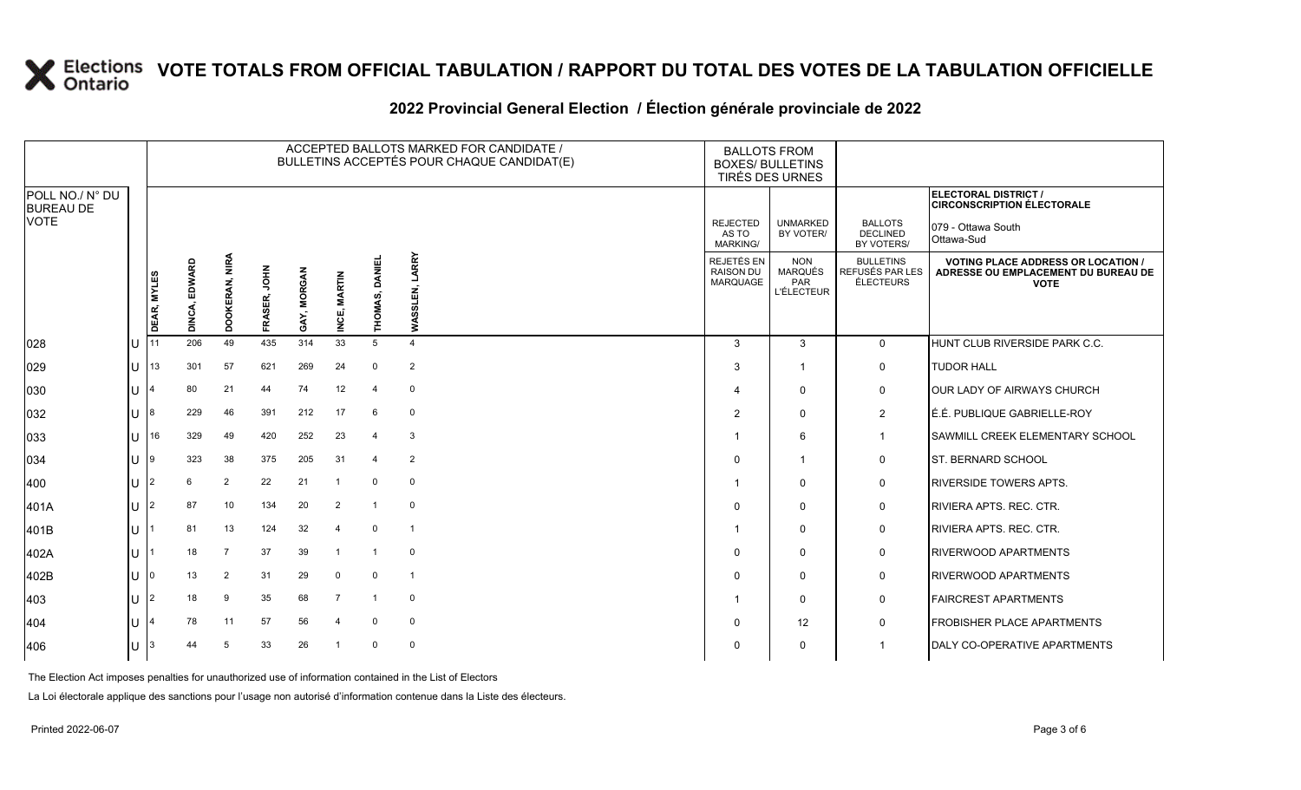### **2022 Provincial General Election / Élection générale provinciale de 2022**

|                                     |   |             |               |                |              |             | ACCEPTED BALLOTS MARKED FOR CANDIDATE /<br>BULLETINS ACCEPTÉS POUR CHAQUE CANDIDAT(E) | <b>BALLOTS FROM</b><br><b>BOXES/ BULLETINS</b><br>TIRÉS DES URNES |                   |                                             |                                                          |                                                  |                                                                                                 |
|-------------------------------------|---|-------------|---------------|----------------|--------------|-------------|---------------------------------------------------------------------------------------|-------------------------------------------------------------------|-------------------|---------------------------------------------|----------------------------------------------------------|--------------------------------------------------|-------------------------------------------------------------------------------------------------|
| POLL NO./ N° DU<br><b>BUREAU DE</b> |   |             |               |                |              |             |                                                                                       |                                                                   |                   |                                             |                                                          |                                                  | ELECTORAL DISTRICT /<br><b>CIRCONSCRIPTION ÉLECTORALE</b>                                       |
| <b>VOTE</b>                         |   |             |               |                |              |             |                                                                                       |                                                                   |                   | <b>REJECTED</b><br>AS TO<br><b>MARKING/</b> | <b>UNMARKED</b><br>BY VOTER/                             | <b>BALLOTS</b><br><b>DECLINED</b><br>BY VOTERS/  | 079 - Ottawa South<br>Ottawa-Sud                                                                |
|                                     |   | DEAR, MYLES | DINCA, EDWARD | DOOKERAN, NIRA | FRASER, JOHN | GAY, MORGAN | <b>MARTIN</b><br>INCE,                                                                | <b>DANIE</b><br>THOMAS,                                           | LARRY<br>WASSLEN, | REJETÉS EN<br><b>RAISON DU</b><br>MARQUAGE  | <b>NON</b><br><b>MARQUÉS</b><br>PAR<br><b>L'ÉLECTEUR</b> | <b>BULLETINS</b><br>REFUSÉS PAR LES<br>ÉLECTEURS | <b>VOTING PLACE ADDRESS OR LOCATION /</b><br>ADRESSE OU EMPLACEMENT DU BUREAU DE<br><b>VOTE</b> |
| 028                                 |   | 11          | 206           | 49             | 435          | 314         | 33                                                                                    | $5\overline{5}$                                                   | $\overline{4}$    | 3                                           | 3                                                        | $\mathbf 0$                                      | HUNT CLUB RIVERSIDE PARK C.C.                                                                   |
| 029                                 | U | 13          | 301           | 57             | 621          | 269         | 24                                                                                    | $\mathbf 0$                                                       | $\overline{2}$    | 3                                           | $\mathbf{1}$                                             | 0                                                | <b>TUDOR HALL</b>                                                                               |
| 030                                 |   |             | 80            | 21             | 44           | 74          | 12                                                                                    | $\overline{4}$                                                    | $\mathbf{0}$      |                                             | $\mathbf 0$                                              | 0                                                | <b>OUR LADY OF AIRWAYS CHURCH</b>                                                               |
| 032                                 | U |             | 229           | 46             | 391          | 212         | 17                                                                                    | 6                                                                 | $\mathbf 0$       | 2                                           | $\Omega$                                                 | $\overline{2}$                                   | É.É. PUBLIQUE GABRIELLE-ROY                                                                     |
| 033                                 | U | 16          | 329           | 49             | 420          | 252         | 23                                                                                    | $\overline{4}$                                                    | 3                 |                                             | 6                                                        | $\mathbf 1$                                      | <b>SAWMILL CREEK ELEMENTARY SCHOOL</b>                                                          |
| 034                                 | U | 9           | 323           | 38             | 375          | 205         | 31                                                                                    | 4                                                                 | 2                 | $\Omega$                                    | $\overline{1}$                                           | $\mathbf 0$                                      | <b>IST. BERNARD SCHOOL</b>                                                                      |
| 400                                 | U |             | 6             | $\overline{2}$ | 22           | 21          | $\overline{1}$                                                                        | $\mathbf 0$                                                       | $\mathbf 0$       |                                             | $\Omega$                                                 | $\mathbf 0$                                      | <b>RIVERSIDE TOWERS APTS.</b>                                                                   |
| 401A                                | U |             | 87            | 10             | 134          | 20          | 2                                                                                     | $\overline{1}$                                                    | $\mathbf 0$       | $\Omega$                                    | $\mathbf{0}$                                             | 0                                                | RIVIERA APTS, REC. CTR.                                                                         |
| 401B                                | U |             | 81            | 13             | 124          | 32          | 4                                                                                     | $\mathbf 0$                                                       | $\overline{1}$    |                                             | $\Omega$                                                 | 0                                                | <b>RIVIERA APTS, REC. CTR.</b>                                                                  |
| 402A                                | U |             | 18            | $\overline{7}$ | 37           | 39          | $\overline{1}$                                                                        | $\overline{1}$                                                    | $\mathbf 0$       | $\Omega$                                    | $\Omega$                                                 | 0                                                | <b>RIVERWOOD APARTMENTS</b>                                                                     |
| 402B                                | U |             | 13            | 2              | 31           | 29          | $\Omega$                                                                              | $\mathbf 0$                                                       | $\overline{1}$    | $\Omega$                                    | $\mathbf 0$                                              | 0                                                | <b>RIVERWOOD APARTMENTS</b>                                                                     |
| 403                                 | U | 2           | 18            | 9              | 35           | 68          | $\overline{7}$                                                                        | $\overline{1}$                                                    | 0                 |                                             | $\mathbf{0}$                                             | 0                                                | <b>FAIRCREST APARTMENTS</b>                                                                     |
| 404                                 |   |             | 78            | 11             | 57           | 56          | $\overline{4}$                                                                        | $\mathbf 0$                                                       | $\mathbf 0$       | $\Omega$                                    | 12                                                       | 0                                                | <b>FROBISHER PLACE APARTMENTS</b>                                                               |
| 406                                 |   |             | 44            | 5              | 33           | 26          | $\overline{1}$                                                                        | $\mathbf 0$                                                       | $\mathbf 0$       | $\Omega$                                    | $\Omega$                                                 |                                                  | DALY CO-OPERATIVE APARTMENTS                                                                    |

The Election Act imposes penalties for unauthorized use of information contained in the List of Electors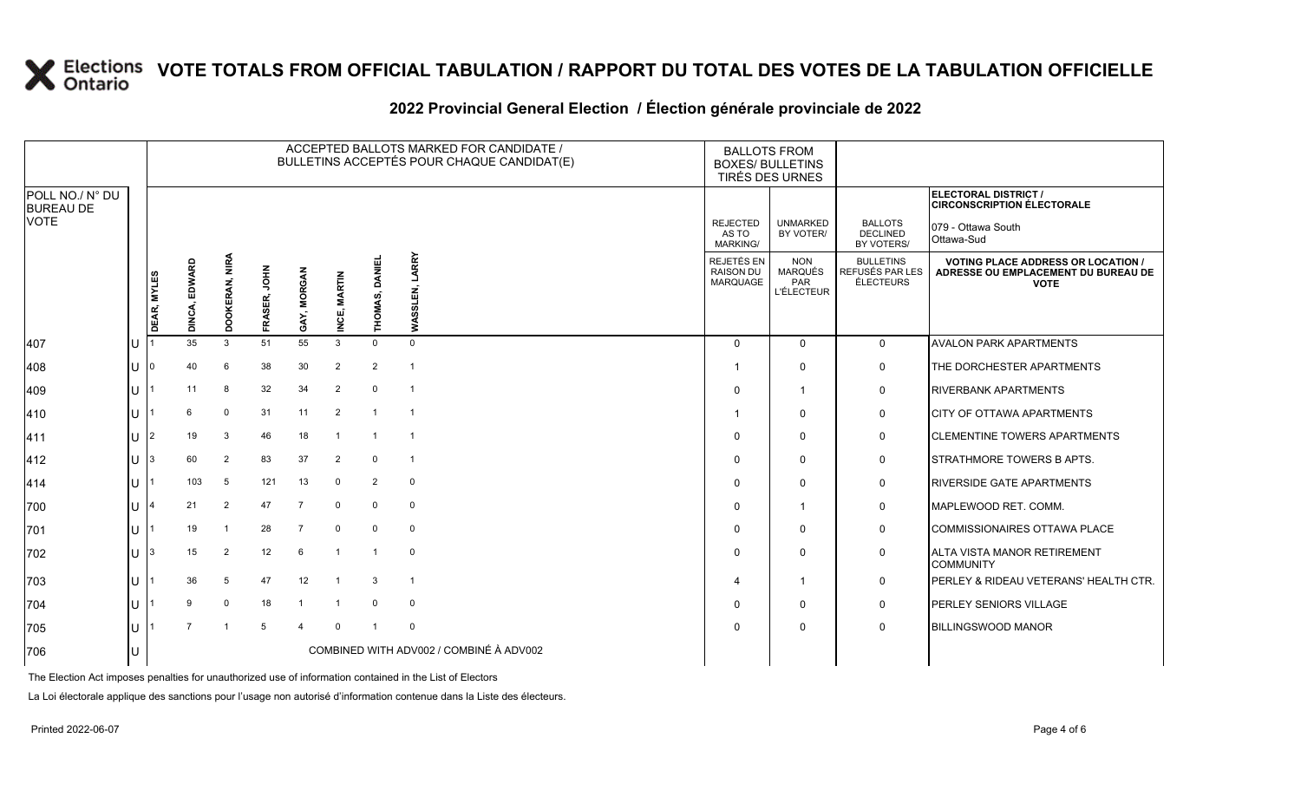### **2022 Provincial General Election / Élection générale provinciale de 2022**

|                                     |     |             |                  |                         |               |                      |                       |                         | ACCEPTED BALLOTS MARKED FOR CANDIDATE /<br>BULLETINS ACCEPTÉS POUR CHAQUE CANDIDAT(E) | <b>BALLOTS FROM</b><br><b>BOXES/ BULLETINS</b><br>TIRÉS DES URNES |                                                   |                                                  |                                                                                               |
|-------------------------------------|-----|-------------|------------------|-------------------------|---------------|----------------------|-----------------------|-------------------------|---------------------------------------------------------------------------------------|-------------------------------------------------------------------|---------------------------------------------------|--------------------------------------------------|-----------------------------------------------------------------------------------------------|
| POLL NO./ N° DU<br><b>BUREAU DE</b> |     |             |                  |                         |               |                      |                       |                         |                                                                                       |                                                                   |                                                   |                                                  | ELECTORAL DISTRICT /<br><b>CIRCONSCRIPTION ÉLECTORALE</b>                                     |
| <b>VOTE</b>                         |     |             |                  |                         |               |                      |                       |                         |                                                                                       | <b>REJECTED</b><br>AS TO<br>MARKING/                              | <b>UNMARKED</b><br>BY VOTER/                      | <b>BALLOTS</b><br><b>DECLINED</b><br>BY VOTERS/  | 079 - Ottawa South<br>Ottawa-Sud                                                              |
|                                     |     | DEAR, MYLES | EDWARD<br>DINCA, | OOKERAN, NIRA<br>Ō      | 돌으<br>FRASER, | <b>MORGA</b><br>GAY, | <b>MARTIN</b><br>NCE, | DANIEL<br>ιó,<br>THOMA! | LARRY<br>Š                                                                            | REJETÉS EN<br>RAISON DU<br><b>MARQUAGE</b>                        | <b>NON</b><br>MARQUÉS<br>PAR<br><b>L'ÉLECTEUR</b> | <b>BULLETINS</b><br>REFUSÉS PAR LES<br>ÉLECTEURS | <b>VOTING PLACE ADDRESS OR LOCATION</b><br>ADRESSE OU EMPLACEMENT DU BUREAU DE<br><b>VOTE</b> |
| 407                                 |     |             | 35               | 3                       | 51            | 55                   | 3                     | $\mathbf 0$             | $\mathbf{0}$                                                                          | $\Omega$                                                          | $\mathbf{0}$                                      | $\mathbf 0$                                      | <b>AVALON PARK APARTMENTS</b>                                                                 |
| 408                                 | IU  | $\Omega$    | 40               | 6                       | 38            | 30                   | $\overline{2}$        | $\overline{2}$          | $\overline{\mathbf{1}}$                                                               |                                                                   | $\mathbf 0$                                       | $\mathbf 0$                                      | THE DORCHESTER APARTMENTS                                                                     |
| 409                                 | ΙU  |             | 11               | 8                       | 32            | 34                   | $\overline{2}$        | 0                       |                                                                                       | $\Omega$                                                          | -1                                                | $\mathbf 0$                                      | <b>RIVERBANK APARTMENTS</b>                                                                   |
| 410                                 | IU  |             | 6                | $\Omega$                | 31            | 11                   | 2                     | -1                      |                                                                                       |                                                                   | $\Omega$                                          | $\mathbf 0$                                      | <b>CITY OF OTTAWA APARTMENTS</b>                                                              |
| 411                                 | lU  | l2          | 19               | 3                       | 46            | 18                   |                       |                         |                                                                                       | $\Omega$                                                          | $\Omega$                                          | $\mathbf 0$                                      | <b>CLEMENTINE TOWERS APARTMENTS</b>                                                           |
| 412                                 | U   | I3          | 60               | $\overline{2}$          | 83            | 37                   | $\overline{2}$        | $\mathbf 0$             |                                                                                       | $\Omega$                                                          | $\Omega$                                          | $\mathbf 0$                                      | STRATHMORE TOWERS B APTS.                                                                     |
| 414                                 | IU. |             | 103              | 5                       | 121           | 13                   | $^{\circ}$            | $\overline{2}$          | $\mathbf 0$                                                                           | $\Omega$                                                          | $\Omega$                                          | 0                                                | <b>RIVERSIDE GATE APARTMENTS</b>                                                              |
| 700                                 | ПT  |             | 21               | $\overline{2}$          | 47            | $\overline{7}$       | $\Omega$              | 0                       | $\mathbf 0$                                                                           | $\Omega$                                                          | -1                                                | $\mathbf 0$                                      | MAPLEWOOD RET. COMM.                                                                          |
| 701                                 | IU  |             | 19               | $\overline{1}$          | 28            | 7                    | $\mathbf 0$           | $\mathbf{0}$            | $\mathbf 0$                                                                           | $\Omega$                                                          | $\Omega$                                          | $\mathbf 0$                                      | COMMISSIONAIRES OTTAWA PLACE                                                                  |
| 702                                 | lU  | Ι3          | 15               | 2                       | 12            | 6                    | $\overline{1}$        | - 1                     | $\mathbf 0$                                                                           | $\Omega$                                                          | $\mathbf{0}$                                      | $\mathbf 0$                                      | ALTA VISTA MANOR RETIREMENT<br><b>COMMUNITY</b>                                               |
| 703                                 | ПT  |             | 36               | 5                       | 47            | 12                   |                       | 3                       | $\overline{\mathbf{1}}$                                                               | 4                                                                 | -1                                                | $\mathbf 0$                                      | <b>PERLEY &amp; RIDEAU VETERANS' HEALTH CTR.</b>                                              |
| 704                                 | Ш   |             |                  | $\mathbf 0$             | 18            |                      |                       | $\Omega$                | $\mathbf 0$                                                                           | 0                                                                 | $\Omega$                                          | $\mathbf 0$                                      | PERLEY SENIORS VILLAGE                                                                        |
| 705                                 | Ш   |             |                  | $\overline{\mathbf{1}}$ | 5             |                      | $\Omega$              |                         | $\Omega$                                                                              | $\Omega$                                                          | $\Omega$                                          | $\mathbf 0$                                      | <b>BILLINGSWOOD MANOR</b>                                                                     |
| 706                                 |     |             |                  |                         |               |                      |                       |                         | COMBINED WITH ADV002 / COMBINÉ À ADV002                                               |                                                                   |                                                   |                                                  |                                                                                               |

The Election Act imposes penalties for unauthorized use of information contained in the List of Electors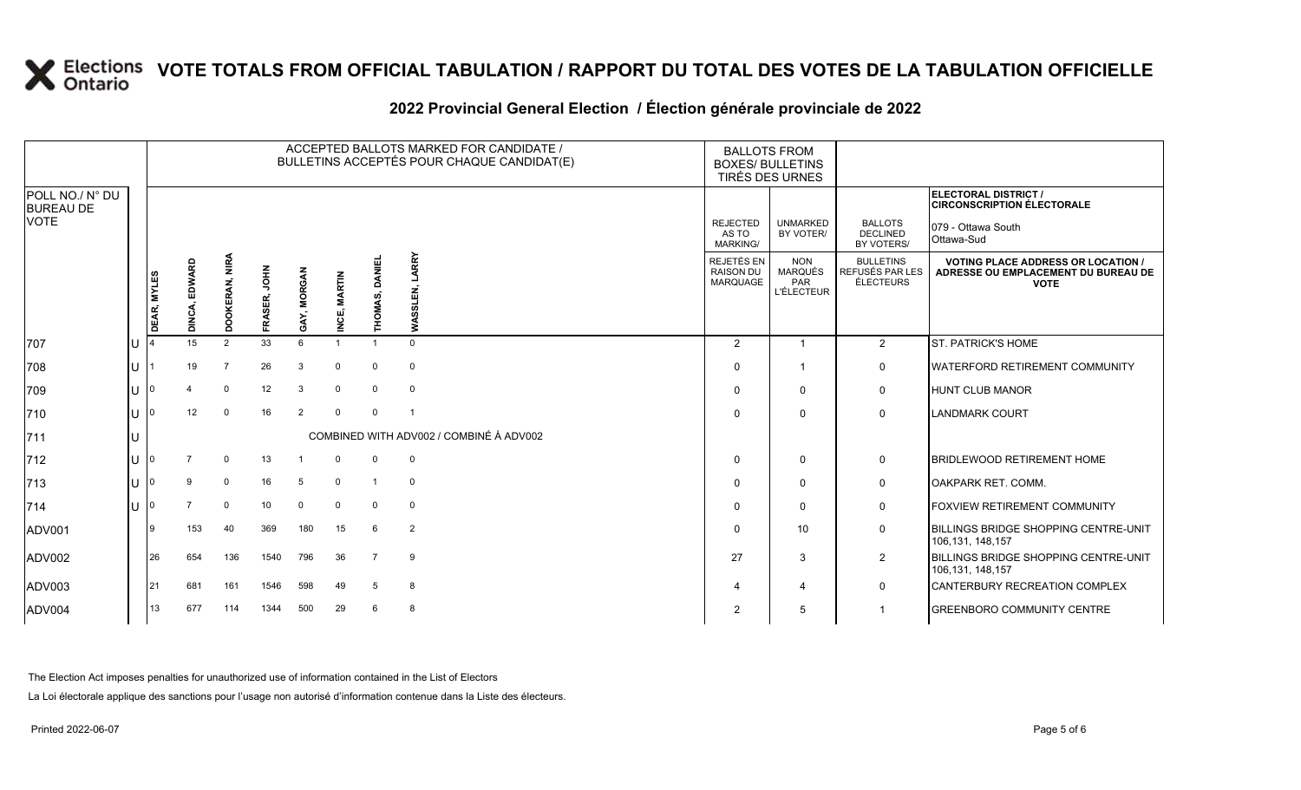### **2022 Provincial General Election / Élection générale provinciale de 2022**

|                                     |     |             |                  |                |              |             |                        | ACCEPTED BALLOTS MARKED FOR CANDIDATE /<br>BULLETINS ACCEPTÉS POUR CHAQUE CANDIDAT(E) | <b>BALLOTS FROM</b><br><b>BOXES/ BULLETINS</b> | TIRÉS DES URNES                            |                                                          |                                                  |                                                                                                 |
|-------------------------------------|-----|-------------|------------------|----------------|--------------|-------------|------------------------|---------------------------------------------------------------------------------------|------------------------------------------------|--------------------------------------------|----------------------------------------------------------|--------------------------------------------------|-------------------------------------------------------------------------------------------------|
| POLL NO./ N° DU<br><b>BUREAU DE</b> |     |             |                  |                |              |             |                        |                                                                                       |                                                |                                            |                                                          |                                                  | ELECTORAL DISTRICT /<br><b>CIRCONSCRIPTION ÉLECTORALE</b>                                       |
| <b>VOTE</b>                         |     |             |                  |                |              |             |                        |                                                                                       |                                                | <b>REJECTED</b><br>AS TO<br>MARKING/       | <b>UNMARKED</b><br>BY VOTER/                             | <b>BALLOTS</b><br><b>DECLINED</b><br>BY VOTERS/  | 079 - Ottawa South<br>Ottawa-Sud                                                                |
|                                     |     | DEAR, MYLES | EDWARD<br>DINCA, | DOOKERAN, NIRA | FRASER, JOHN | GAY, MORGAN | <b>MARTIN</b><br>INCE, | HOMAS, DANIEI                                                                         | LARRY<br>Ξ.<br><b>WASSL</b>                    | REJETÉS EN<br><b>RAISON DU</b><br>MARQUAGE | <b>NON</b><br><b>MARQUÉS</b><br>PAR<br><b>L'ÉLECTEUR</b> | <b>BULLETINS</b><br>REFUSÉS PAR LES<br>ÉLECTEURS | <b>VOTING PLACE ADDRESS OR LOCATION /</b><br>ADRESSE OU EMPLACEMENT DU BUREAU DE<br><b>VOTE</b> |
| 707                                 | lU. |             | 15               | $\overline{2}$ | 33           | 6           |                        |                                                                                       | $\Omega$                                       | 2                                          |                                                          | 2                                                | <b>ST. PATRICK'S HOME</b>                                                                       |
| 708                                 | lu  |             | 19               | $\overline{7}$ | 26           | 3           | $\Omega$               | $\mathbf 0$                                                                           | $\mathbf 0$                                    | $\Omega$                                   |                                                          | $\mathbf 0$                                      | WATERFORD RETIREMENT COMMUNITY                                                                  |
| 709                                 | lu  |             |                  | $\mathbf 0$    | 12           | 3           | $\mathbf 0$            | $\mathbf 0$                                                                           | $\mathbf 0$                                    | $\Omega$                                   | $\mathbf{0}$                                             | 0                                                | <b>HUNT CLUB MANOR</b>                                                                          |
| 710                                 | ΙU  |             | 12               | $\Omega$       | 16           | 2           | $\mathbf 0$            | $\mathbf 0$                                                                           | -1                                             | $\Omega$                                   | $\Omega$                                                 | $\mathbf 0$                                      | <b>LANDMARK COURT</b>                                                                           |
| 711                                 | IU  |             |                  |                |              |             |                        |                                                                                       | COMBINED WITH ADV002 / COMBINÉ À ADV002        |                                            |                                                          |                                                  |                                                                                                 |
| 712                                 | lU  |             |                  | $\mathbf 0$    | 13           |             | $\mathbf 0$            | $\mathbf 0$                                                                           | $\mathbf 0$                                    | $\Omega$                                   | $\mathbf{0}$                                             | $\mathbf 0$                                      | <b>BRIDLEWOOD RETIREMENT HOME</b>                                                               |
| 713                                 | Iυ  |             | 9                | $\mathbf 0$    | 16           | 5           | $\mathbf 0$            | -1                                                                                    | $\mathbf 0$                                    | $\Omega$                                   | 0                                                        | 0                                                | OAKPARK RET. COMM.                                                                              |
| $714$                               | lU  |             |                  | $\mathbf 0$    | 10           | $\mathbf 0$ | $\mathbf 0$            | $\mathbf 0$                                                                           | $\mathbf 0$                                    | $\Omega$                                   | 0                                                        | $\mathbf 0$                                      | FOXVIEW RETIREMENT COMMUNITY                                                                    |
| ADV001                              |     |             | 153              | 40             | 369          | 180         | 15                     | 6                                                                                     | $\overline{2}$                                 | $\Omega$                                   | 10                                                       | $\mathbf 0$                                      | BILLINGS BRIDGE SHOPPING CENTRE-UNIT<br>106,131, 148,157                                        |
| ADV002                              |     | 26          | 654              | 136            | 1540         | 796         | 36                     | $\overline{7}$                                                                        | 9                                              | 27                                         | 3                                                        | $\overline{2}$                                   | BILLINGS BRIDGE SHOPPING CENTRE-UNIT<br>106,131, 148,157                                        |
| ADV003                              |     | 21          | 681              | 161            | 1546         | 598         | 49                     | -5                                                                                    | 8                                              | $\overline{A}$                             | 4                                                        | 0                                                | CANTERBURY RECREATION COMPLEX                                                                   |
| ADV004                              |     | 13          | 677              | 114            | 1344         | 500         | 29                     | 6                                                                                     | 8                                              | $\overline{2}$                             | 5                                                        | 1                                                | <b>GREENBORO COMMUNITY CENTRE</b>                                                               |

The Election Act imposes penalties for unauthorized use of information contained in the List of Electors